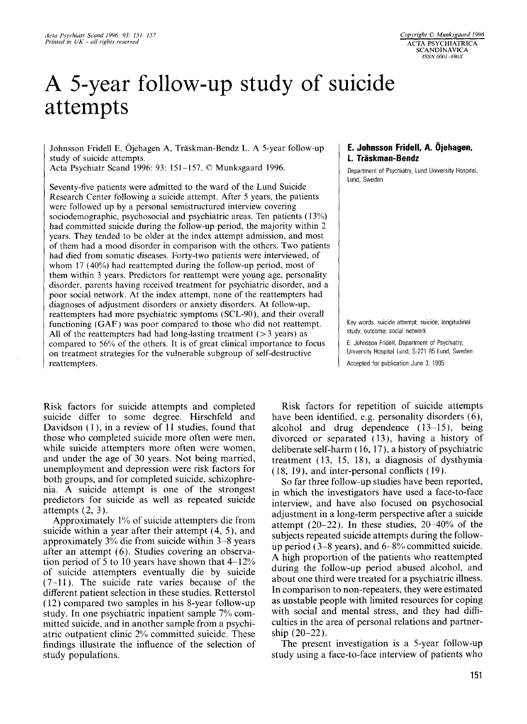# **A** 5-year follow-up study of suicide attempts

Johnsson Fridell E, Ojehagen A, Traskman-Bendz L. **A** 5-year follow-up study of suicide attempts.

Acta Psychiatr Scand 1996: 93: 151-157. Q Munksgaard 1996.

Seventy-five patients were admitted to the ward of the Lund Suicide Research Center following a suicide attempt. After *5* years, the patients were followed up by a personal semistructured interview covering sociodemographic, psychosocial and psychiatric areas. Ten patients ( 13%) had committed suicide during the follow-up period, the majority within 2 years. They tended to be older at the index attempt admission, and most of them had a mood disorder in comparison with the others. Two patients had died from somatic diseases. Forty-two patients were interviewed, of whom 17 (40%) had reattempted during the follow-up period, most of them within 3 years. Predictors for reattempt were young age, personality disorder, parents having received treatment for psychiatric disorder, and a poor social network. At the index attempt, none of the reattempters had diagnoses of adjustment disorders or anxiety disorders. At follow-up, reattempters had more psychiatric symptoms (SCL-90), and their overall functioning (GAF) was poor compared to those who did not reattempt. All of the reattempters had had long-lasting treatment ( $>$ 3 years) as compared to 56% of the others. It is of great clinical importance to focus on treatment strategies for the vulnerable subgroup of self-destructive reattempters.

Risk factors for suicide attempts and completed suicide differ to some degree. Hirschfeld and Davidson (1), in a review of 11 studies, found that those who completed suicide more often were men, while suicide attempters more often were women, and under the age of 30 years. Not being married, unemployment and depression were risk factors for both groups, and for completed suicide, schizophrenia. **A** suicide attempt is one of the strongest predictors for suicide as well as repeated suicide attempts  $(2, 3)$ .

Approximately 1% of suicide attempters die from suicide within a year after their attempt (4, 5), and approximately 3% die from suicide within 3-8 years after an attempt (6). Studies covering an observation period of 5 to 10 years have shown that 4-12% of suicide attempters eventually die by suicide (7-11). The suicide rate varies because of the different patient selection in these studies. Retterstol ( 12) compared two samples in his 8-year follow-up study. In one psychiatric inpatient sample 7% committed suicide, and in another sample from a psychiatric outpatient clinic 2% committed suicide. These findings illustrate the influence of the selection of study populations.

## **E. Johnsson Fridell, A. Ojehagen, 1. Traskman-Bendz**

Department of Psychiatry. Lund University Hospital, Lund. Sweden

Key words. suicide attempt; suicide; longitudinal study; outcome; social network

*E.* Johnsson Fridell. Department *of* Psychiatry. University Hospital Lund, S-221 85 Lund. Sweden Accepted for publication June 3, 1995

Risk factors for repetition of suicide attempts have been identified, e.g. personality disorders (6), alcohol and drug dependence  $(13-15)$ , being divorced or separated (13), having a history of deliberate self-harm ( 16, 17), a history of psychiatric treatment ( 13, 15, 18), a diagnosis of dysthymia (18, 19), and inter-personal conflicts (19).

**So** far three follow-up studies have been reported, in which the investigators have used a face-to-face interview, and have also focused on psychosocial adjustment in a long-term perspective after a suicide attempt  $(20-22)$ . In these studies,  $20-40\%$  of the subjects repeated suicide attempts during the followup period ( $3-8$  years), and  $6-8\%$  committed suicide. **A** high proportion of the patients who reattempted during the follow-up period abused alcohol, and about one third were treated for a psychiatric illness. In comparison to non-repeaters, they were estimated as unstable people with limited resources for coping with social and mental stress, and they had difficulties in the area of personal relations and partnership  $(20-22)$ .

The present investigation is a 5-year follow-up study using a face-to-face interview of patients who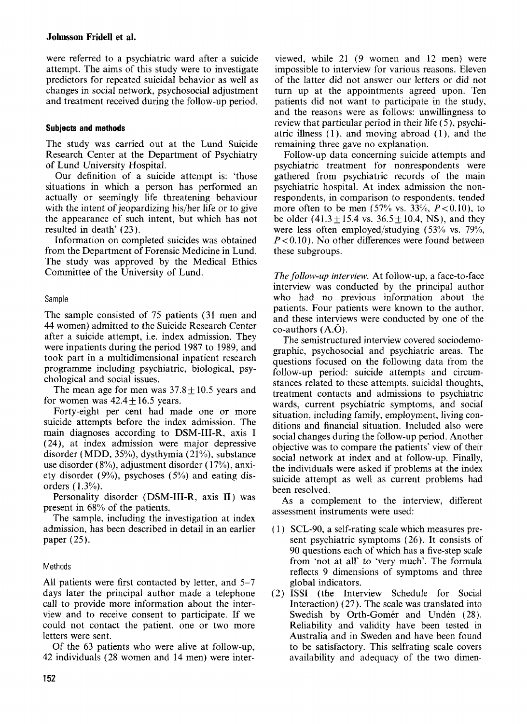were referred to a psychiatric ward after a suicide attempt. The aims of this study were to investigate predictors for repeated suicidal behavior as well as changes in social network, psychosocial adjustment and treatment received during the follow-up period.

# **Subjects and methods**

The study was carried out at the Lund Suicide Research Center at the Department of Psychiatry of Lund University Hospital.

Our definition of a suicide attempt is: 'those situations in which a person has performed an actually or seemingly life threatening behaviour with the intent of jeopardizing his/her life or to give the appearance of such intent, but which has not resulted in death' (23).

Information on completed suicides was obtained from the Department of Forensic Medicine in Lund. The study was approved by the Medical Ethics Committee of the University of Lund.

# Sample

The sample consisted of 75 patients (31 men and 44 women) admitted to the Suicide Research Center after a suicide attempt, i.e. index admission. They were inpatients during the period 1987 to 1989, and took part in a multidimensional inpatient research programme including psychiatric, biological, psychological and social issues.

The mean age for men was  $37.8 + 10.5$  years and for women was  $42.4 + 16.5$  years.

Forty-eight per cent had made one or more suicide attempts before the index admission. The main diagnoses according to DSM-III-R, axis I (24), at index admission were major depressive disorder (MDD, 35%), dysthymia (21%), substance use disorder (8%), adjustment disorder ( 17%), anxiety disorder (9%), psychoses (5%) and eating disorders (1.3%).

Personality disorder (DSM-III-R, axis 11) was present in 68% of the patients.

The sample, including the investigation at index admission, has been described in detail in an earlier paper (25).

# Methods

All patients were first contacted by letter, and 5-7 days later the principal author made a telephone call to provide more information about the interview and to receive consent to participate. If we could not contact the patient, one or two more letters were sent.

Of the 63 patients who were alive at follow-up, 42 individuals (28 women and 14 men) were interviewed, while 21 (9 women and 12 men) were impossible to interview for various reasons. Eleven of the latter did not answer our letters or did not turn up at the appointments agreed upon. Ten patients did not want to participate in the study, and the reasons were as follows: unwillingness to review that particular period in their life (5), psychiatric illness (I), and moving abroad (1). and the remaining three gave no explanation.

Follow-up data concerning suicide attempts and psychiatric treatment for nonrespondents were gathered from psychiatric records of the main psychiatric hospital. **At** index admission the nonrespondents, in comparison to respondents, tended more often to be men  $(57\% \text{ vs. } 33\%, P < 0.10)$ , to be older  $(41.3 \pm 15.4 \text{ vs. } 36.5 \pm 10.4, \text{ NS})$ , and they were less often employed/studying (53% vs. 79%, *P<O.IO).* No other differences were found between these subgroups.

*The follow-up interview.* At follow-up, a face-to-face interview was conducted by the principal author who had no previous information about the patients. Four patients were known to the author, and these interviews were conducted by one of the co-authors **(A.0).** 

The semistructured interview covered sociodemographic, psychosocial and psychiatric areas. The questions focused on the following data from the follow-up period: suicide attempts and circumstances related to these attempts, suicidal thoughts, treatment contacts and admissions to psychiatric wards, current psychiatric symptoms, and social situation, including family, employment, living conditions and financial situation. Included also were social changes during the follow-up period. Another objective was to compare the patients' view of their social network at index and at follow-up. Finally, the individuals were asked if problems at the index suicide attempt as well as current problems had been resolved.

As **a** complement to the interview, different assessment instruments were used:

- $(1)$  SCL-90, a self-rating scale which measures present psychiatric symptoms (26). It consists of 90 questions each of which has a five-step scale from 'not at all' to 'very much'. The formula reflects 9 dimensions of symptoms and three global indicators.
- ISSI (the Interview Schedule for Social Interaction) (27). The scale was translated into Swedish by Orth-Gomér and Undén (28). Reliability and validity have been tested in Australia and in Sweden and have been found to be satisfactory. This selfrating scale covers availability and adequacy of the two dimen-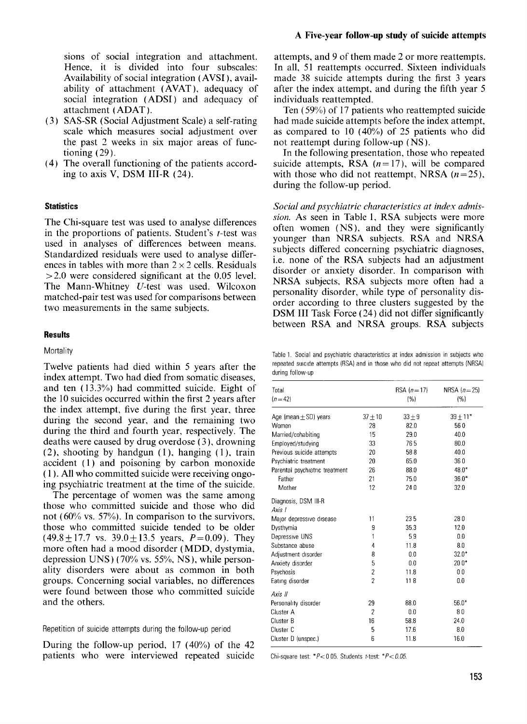sions of social integration and attachment. Hence, it is divided into four subscales: Availability of social integration ( AVSI ), availability of attachment (AVAT ), adequacy of social integration (ADSI) and adequacy of attachment (ADAT).

- (3) SAS-SR (Social Adjustment Scale) a self-rating scale which measures social adjustment over the past 2 weeks in six major areas of functioning  $(29)$ .
- (4) The overall functioning of the patients according to axis V, DSM 111-R (24).

## **Statistics**

The Chi-square test was used to analyse differences in the proportions of patients. Student's t-test was used in analyses of differences between means. Standardized residuals were used to analyse differences in tables with more than  $2 \times 2$  cells. Residuals  $> 2.0$  were considered significant at the 0.05 level. The Mann-Whitney U-test was used. Wilcoxon matched-pair test was used for comparisons between two measurements in the same subjects.

#### **Results**

#### **Mortality**

Twelve patients had died within 5 years after the index attempt. Two had died from somatic diseases, and ten (13.3%) had committed suicide. Eight of the 10 suicides occurred within the first 2 years after the index attempt, five during the first year, three during the second year, and the remaining two during the third and fourth year, respectively. The deaths were caused by drug overdose (3), drowning  $(2)$ , shooting by handgun  $(1)$ , hanging  $(1)$ , train accident (1) and poisoning by carbon monoxide ( 1 ). All who committed suicide were receiving ongoing psychiatric treatment at the time of the suicide.

The percentage of women was the same among those who committed suicide and those who did not ( $60\%$  vs. 57%). In comparison to the survivors, those who committed suicide tended to be older  $(49.8 \pm 17.7 \text{ vs. } 39.0 \pm 13.5 \text{ years}, P=0.09)$ . They more often had a mood disorder (MDD, dystymia, depression UNS  $(70\% \text{ vs. } 55\%, \text{ NS})$ , while personality disorders were about as common in both groups. Concerning social variables, no differences were found between those who committed suicide and the others.

#### Repetiticn of suicide attempts during the follow-up period

During the follow-up period, 17 (40%) of the 42 patients who were interviewed repeated suicide

attempts, and 9 of them made 2 or more reattempts. In all, 51 reattempts occurred. Sixteen individuals made 38 suicide attempts during the first 3 years after the index attempt, and during the fifth year 5 individuals reattempted.

Ten  $(59\%)$  of 17 patients who reattempted suicide had made suicide attempts before the index attempt, as compared to 10 (40%) of 25 patients who did not reattempt during follow-up (NS ).

In the following presentation, those who repeated suicide attempts, RSA  $(n=17)$ , will be compared with those who did not reattempt, NRSA  $(n=25)$ , during the follow-up period.

*Social and psychiatric characteristics at index admission.* As seen in Table 1, RSA subjects were more often women (NS), and they were significantly younger than NRSA subjects. RSA and NRSA subjects differed concerning psychiatric diagnoses, i.e. none of the RSA subjects had an adjustment disorder or anxiety disorder. In comparison with NRSA subjects, RSA subjects more often had a personality disorder, while type of personality disorder according to three clusters suggested by the DSM III Task Force (24) did not differ significantly between RSA and NRSA groups. RSA subjects

Table 1. Social and psychiatric characteristics at index admission in subjects who repeated suicide attempts (RSA) and in those who did not repeat attempts (NRSA) during follow-up

| Total<br>$(n = 42)$            |                | $RSA (n = 17)$<br>(%) | NRSA $(n=25)$<br>(%) |
|--------------------------------|----------------|-----------------------|----------------------|
| Age (mean $\pm$ SD) years      | $37 + 10$      | $33 + 9$              | $39 + 11*$           |
| Women                          | 28             | 82.0                  | 560                  |
| Married/cohabiting             | 15             | 29.0                  | 40.0                 |
| Employed/studying              | 33             | 765                   | 80.0                 |
| Previous suicide attempts      | 20             | 588                   | 40.0                 |
| Psychiatric treatment          | 20             | 65.0                  | 360                  |
| Parental psychiatric treatment | 26             | 88.0                  | 48.0*                |
| Father                         | 21             | 75.0                  | $36.0*$              |
| Mother                         | 12             | 240                   | 32.0                 |
| Diagnosis, DSM III-R<br>Axis I |                |                       |                      |
| Major depressive disease       | 11             | 235                   | 280                  |
| Dysthymia                      | 9              | 35.3                  | 12.0                 |
| Depressive UNS                 | 1              | 59                    | 0.0                  |
| Substance abuse                | 4              | 11.8                  | 8.0                  |
| Adjustment disorder            | 8              | 0.0                   | $32.0*$              |
| Anxiety disorder               | 5              | 0.0                   | $200*$               |
| Psychosis                      | $\overline{c}$ | 11.8                  | 0 <sub>0</sub>       |
| Eating disorder                | $\overline{c}$ | 118                   | 0.0                  |
| Axis II                        |                |                       |                      |
| Personality disorder           | 29             | 88.0                  | $56.0*$              |
| Cluster A                      | $\overline{2}$ | 0.0                   | 80                   |
| Cluster B                      | 16             | 58.8                  | 24.0                 |
| Cluster C                      | 5              | 17.6                  | 8.0                  |
| Cluster D (unspec.)            | 6              | 11.8                  | 16.0                 |
|                                |                |                       |                      |

Chi-square test:  $*P<0$  05. Students t-test:  $*P<0.05$ .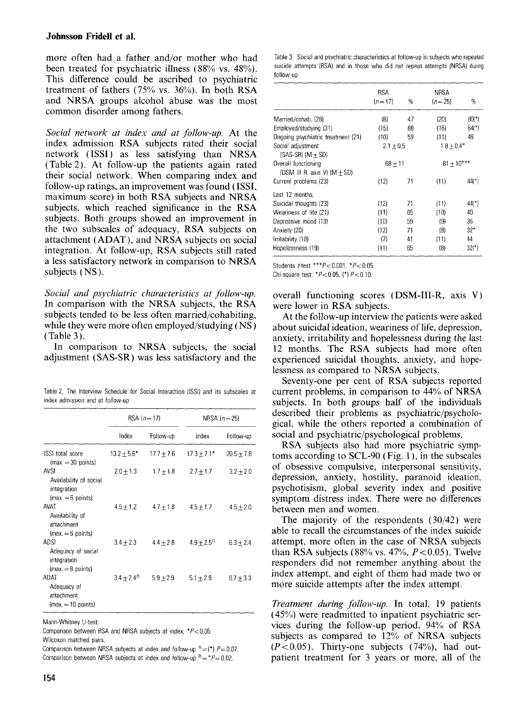## **Johnsson Fridell et al.**

more often had a father and/or mother who had been treated for psychiatric illness (88% vs. 48%). This difference could be ascribed to psychiatric treatment of fathers (75% vs. 36%). In both RSA and NRSA groups alcohol abuse was the most common disorder among fathers.

*Social network at indes and at follow-up.* At the index admission RSA subjects rated their social network (ISSI) as less satisfying than NRSA (Table 2). At follow-up the patients again rated their social network. When comparing index and follow-up ratings, an improvement was found (ISSI, maximum score) in both RSA subjects and NRSA subjects, which reached significance in the RSA subjects. Both groups showed an improvement in the two subscales of adequacy, RSA subjects on attachment (ADAT), and NRSA subjects on social integration. At follow-up, RSA subjects still rated a less satisfactory network in comparison to NRSA subjects (NS).

Social and psychiatric characteristics at follow-up. In comparison with the NRSA subjects, the RSA subjects tended to be less often married/cohabiting, while they were more often employed/studying (NS ) (Table *3).* 

In comparison to NRSA subjects, the social adjustment (SAS-SR) was less satisfactory and the

Table 2. The Interview Schedule for Social Interaction (ISSI) and its subscales at index admission and at follow-up

|                                                                            | $RSA (n = 17)$  |               | NRSA $(n=25)$             |              |
|----------------------------------------------------------------------------|-----------------|---------------|---------------------------|--------------|
|                                                                            | Index           | Follow-up     | Index                     | Follow-up    |
| ISSI total score<br>$(max = 30 points)$                                    | $13.2 + 5.6*$   | $177 + 7.6$   | $17.3 + 7.1*$             | $20.5 + 7.8$ |
| <b>AVSI</b><br>Availability of social<br>integration<br>$(max = 6 points)$ | $2.0 \pm 1.3$   | $1.7 \pm 1.8$ | $2.7 + 1.7$               | $3.2 + 20$   |
| AVAT<br>Availability of<br>attachment<br>$\{max = 6 \text{ points}\}$      | $4.5 + 1.2$     | $4.7 + 18$    | $4.5 + 1.7$               | $45 + 2.0$   |
| <b>ADSI</b><br>Adequacy of social<br>integration<br>$(max = 8 points)$     | $3.4 \pm 2.3$   | $4.4 + 28$    | $4.9 + 2.5$ <sup>11</sup> | $6.3 + 2.4$  |
| ADAT<br>Adequacy of<br>attachment<br>$(max = 10 points)$                   | $3.4 + 2.4^{2}$ | $5.9 + 2.9$   | $5.1 \pm 2.9$             | $6.7 + 3.3$  |

Mann-Whitney U-test:

Comparison between RSA and NRSA subjects at index, *"PcO.05*  Wilcoxon matched pairs:

Comparison between NRSA subjects at index and follow-up  $P=1$  (\*)  $P=0.07$ . Comparison between NRSA subjects at index and follow-up  $2^2 = *P = 0.02$ .

|                                                       | <b>RSA</b>          |    | <b>NRSA</b>    |          |
|-------------------------------------------------------|---------------------|----|----------------|----------|
|                                                       | $(n=17)$            | %  | $(n = 25)$     | %        |
| Married/cohab. (28)                                   | (8)                 | 47 | (20)           | $80(*)$  |
| Employed/studying (31)                                | (15)                | 88 | (16)           | $64$ (*) |
| Ongoing psychiatric treatment (21)                    | (10)                | 59 | (11)           | 48       |
| Social adjustment<br>$(SAS-SR)$ $(M + SD)$            | $2.1 + 0.5$         |    | $18 + 0.4*$    |          |
| Overall functioning<br>(DSM III R, axis V) $(M + SD)$ | $68 + 11$           |    | $81 \pm 10***$ |          |
| Current problems (23)                                 | (12)                | 71 | (11)           | 44(*)    |
| Last 12 months.                                       |                     |    |                |          |
| Suicidal thoughts (23)                                | (12)                | 71 | (11)           | $44$ (*) |
| Weariness of life (21)                                | (11)                | 65 | (10)           | 40       |
| Depressive mood (19)                                  | (10)                | 59 | (9)            | 36       |
| Anxiety (20)                                          | (12)                | 71 | (8)            | $32*$    |
| Irritability (18)                                     | $\langle 7 \rangle$ | 41 | (11)           | 44       |
| Hopelessness (19)                                     | (11)                | 65 | (8)            | $32(*)$  |

Students  $t$ -test \*\*\* $P$ <0.001, \* $P$ <0.05.

Chi-square test: \*P<0.05. (\*) *P<O* 10.

overall functioning scores (DSM-III-R, axis V) were lower in RSA subjects.

At the follow-up interview the patients were asked about suicidal ideation, weariness of life, depression, anxiety, irritability and hopelessness during the last 12 months. The RSA subjects had more often experienced suicidal thoughts, anxiety, and hopelessness as compared to NRSA subjects.

Seventy-one per cent of RSA subjects reported current problems, in comparison to 44% of NRSA subjects. In both groups half of the individuals described their problems as psychiatric/psychological, while the others reported a combination of social and psychiatric/psychological problems.

RSA subjects also had more psychiatric symptoms according to  $SCL-90$  (Fig. 1), in the subscales of obsessive compulsive, interpersonal sensitivity, depression, anxiety, hostility, paranoid ideation, psychotisism, global severity index and positive symptom distress index. There were no differences between men and women.

The majority of the respondents (30/42) were able to recall the circumstances of the index suicide attempt, more often in the case of NRSA subjects than RSA subjects (88% vs.  $47\%$ ,  $P < 0.05$ ). Twelve responders did not remember anything about the index attempt, and eight of them had made two or more suicide attempts after the index attempt.

*Treatment during follow-up.* In total, 19 patients ( 45%) were readmitted to inpatient psychiatric services during the follow-up period, 94% of **RSA**  subjects as compared to  $12\%$  of NRSA subjects  $(P< 0.05)$ . Thirty-one subjects  $(74%)$ , had outpatient treatment for 3 years or more, all of the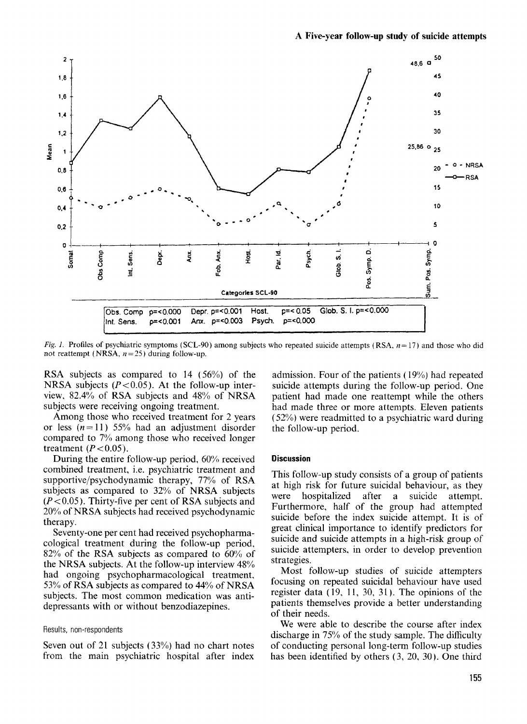

*Fig. 1.* Profiles of psychiatric symptoms (SCL-90) among subjects who repeated suicide attempts **(RSA,** *n=* 17) and those who did not reattempt  $(NRSA, n=25)$  during follow-up.

RSA subjects as compared to 14 (56%) of the NRSA subjects ( $P < 0.05$ ). At the follow-up interview,  $82.4\%$  of RSA subjects and  $48\%$  of NRSA subjects were receiving ongoing treatment.

Among those who received treatment for 2 years or less  $(n=11)$  55% had an adjustment disorder compared to 7% among those who received longer treatment  $(P < 0.05)$ .

During the entire follow-up period, 60% received combined treatment, i.e. psychiatric treatment and supportive/psychodynamic therapy, *77%* of RSA subjects as compared to 32% of NRSA subjects  $(P<0.05)$ . Thirty-five per cent of RSA subjects and 20% of NRSA subjects had received psychodynamic therapy.

Seventy-one per cent had received psychopharmacological treatment during the follow-up period, 82% of the RSA subjects as compared to 60% of the NRSA subjects. At the follow-up interview 48% had ongoing psychopharmacological treatment, 53% of RSA subjects as compared to 44% of NRSA subjects. The most common medication was antidepressants with or without benzodiazepines.

#### Results, non-respondents

Seven out of 21 subjects (33%) had no chart notes from the main psychiatric hospital after index

admission. Four of the patients  $(19\%)$  had repeated suicide attempts during the follow-up period. One patient had made one reattempt while the others had made three or more attempts. Eleven patients (52%) were readmitted to a psychiatric ward during the follow-up period.

#### **Discussion**

This follow-up study consists of a group of patients at high risk for future suicidal behaviour, as they were hospitalized after a suicide attempt. Furthermore, half of the group had attempted suicide before the index suicide attempt. It is of great clinical importance to identify predictors for suicide and suicide attempts in a high-risk group of suicide attempters, in order to develop prevention strategies.

Most follow-up studies of suicide attempters focusing on repeated suicidal behaviour have used register data  $(19, 11, 30, 31)$ . The opinions of the patients themselves provide a better understanding of their needs.

We were able to describe the course after index discharge in 75% of the study sample. The difficulty of conducting personal long-term follow-up studies has been identified by others (3, 20, 30). One third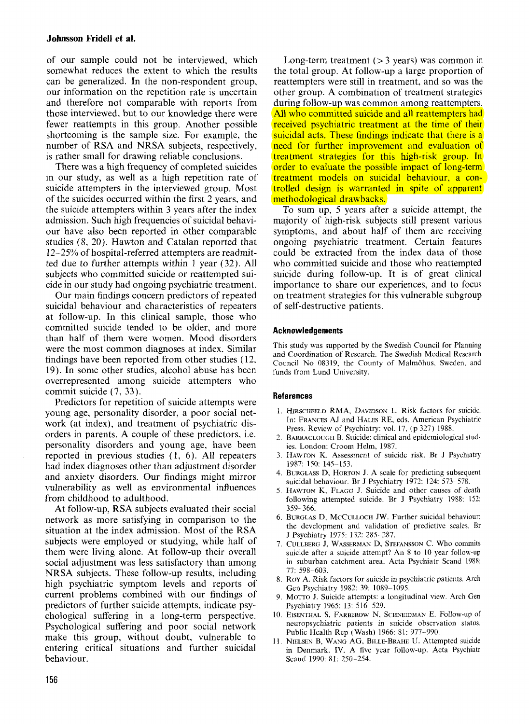## **Johnson Fridell et a].**

of our sample could not be interviewed, which somewhat reduces the extent to which the results can be generalized. In the non-respondent group, our information on the repetition rate is uncertain and therefore not comparable with reports from those interviewed, but to our knowledge there were fewer reattempts in this group. Another possible shortcoming is the sample size. For example, the number of RSA and NRSA subjects, respectively, is rather small for drawing reliable conclusions.

There was a high frequency of completed suicides in our study, as well as a high repetition rate of suicide attempters in the interviewed group. Most of the suicides occurred within the first 2 years, and the suicide attempters within 3 years after the index admission. Such high frequencies of suicidal behaviour have also been reported in other comparable studies (8, 20). Hawton and Catalan reported that 12-25% of hospital-referred attempters are readmitted due to further attempts within 1 year (32). All subjects who committed suicide or reattempted suicide in our study had ongoing psychiatric treatment.

Our main findings concern predictors of repeated suicidal behaviour and characteristics of repeaters at follow-up. In this clinical sample, those who committed suicide tended to be older, and more than half of them were women. Mood disorders were the most common diagnoses at index. Similar findings have been reported from other studies (12, 19). In some other studies, alcohol abuse has been overrepresented among suicide attempters who commit suicide (7, 33).

Predictors for repetition of suicide attempts were young age, personality disorder, a poor social network (at index), and treatment of psychiatric disorders in parents. A couple of these predictors, i.e. personality disorders and young age, have been reported in previous studies **(1,** 6). All repeaters had index diagnoses other than adjustment disorder and anxiety disorders. Our findings might mirror vulnerability as well as environmental influences from childhood to adulthood.

At follow-up, RSA subjects evaluated their social network as more satisfying in comparison to the situation at the index admission. Most of the RSA subjects were employed or studying, while half of them were living alone. At follow-up their overall social adjustment was less satisfactory than among NRSA subjects. These follow-up results, including high psychiatric symptom levels and reports of current problems combined with our findings of predictors of further suicide attempts, indicate psychological suffering in a long-term perspective. Psychological suffering and poor social network make this group, without doubt, vulnerable to entering critical situations and further suicidal behaviour.

Long-term treatment  $(> 3$  years) was common in the total group. At follow-up a large proportion of reattempters were still in treatment, and so was the other group. A combination of treatment strategies during follow-up was common among reattempters. All who committed suicide and all reattempters had received psychiatric treatment at the time of their suicidal acts. These findings indicate that there is a need for further improvement and evaluation of treatment strategies for this high-risk group. In order to evaluate the possible impact of long-term treatment models on suicidal behaviour, a controlled design is warranted in spite of apparent methodological drawbacks.

To sum up, *5* years after a suicide attempt, the majority of high-risk subjects still present various symptoms, and about half of them are receiving ongoing psychiatric treatment. Certain features could be extracted from the index data of those who committed suicide and those who reattempted suicide during follow-up. It is of great clinical importance to share our experiences, and to focus on treatment strategies for this vulnerable subgroup of self-destructive patients.

#### **Acknowledgements**

This study was supported by the Swedish Council for Planning and Coordination of Research. The Swedish Medical Research Council No 08319, the County of Malmohus, Sweden, and funds from Lund University.

#### **References**

- 1. HIRSCHFELD RMA, DAVIDSON L. Risk factors for suicide. In: FRANCES AJ and HALES RE, eds. American Psychiatric Press. Review of Psychiatry: vol. 17, (p 327) 1988.
- *3 I.*  BARRACLOUGH B. Suicide: clinical and epidemiological studies. London: Croom Helm, 1987.
- 3. HAWTON K. Assessment of suicide risk. Br J Psychiatry 1987: 150: 145-153.
- 4. BURGLASS D, HORTON J. **A** scale for predicting subsequent suicidal behaviour. Br J Psychiatry 1972: 124: 573- 578.
- 5. HAWTON K, FLAGG J. Suicide and other causes of death following attempted suicide. Br J Psychiatry 1988: 152: 359-366.
- 6. BURGLAS D, MCCULLOCH *JW.* Further suicidal behaviour: the development and validation of predictive scales. Br J Psychiatry 1975: 132: 285-287.
- 7. CLJLLBERG J, WASSERMAN D, STEFANSSON C. Who commits suicide after a suicide attempt? An 8 to 10 year follow-up in suburban catchment area. Acta Psychiatr Scand 1988: 77: 598-603.
- 8. ROY A. Risk factors for suicide in psychiatric patients. Arch Gen Psychiatry 1983: 39: 1089-1095.
- 9. MOTTO J. Suicide attempts: a longitudinal view. Arch Gen Psychiatry 1965: 13: 516-529.
- 10. EISENTHAL **S,** FARBEROW N, SCHNEIDMAN E. Follow-up of neuropsychiatric patients in suicide observation status. Public Health Rep (Wash) 1966: 81: 977-990.
- 11. NIELSEN B, WANG AG, BILLE-BRAHE U. Attempted suicide in Denmark. IV. A five year follow-up. Acta Psychiatr Scand 1990: 81: 250-254.